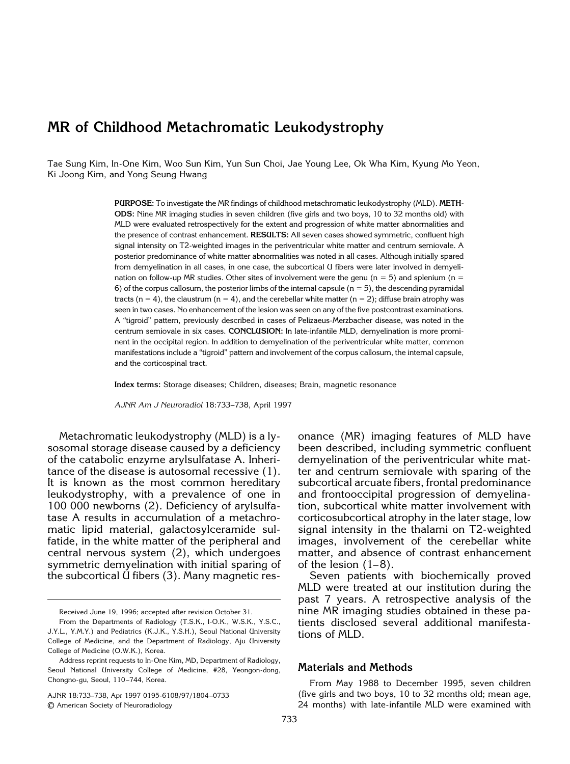# **MR of Childhood Metachromatic Leukodystrophy**

Tae Sung Kim, In-One Kim, Woo Sun Kim, Yun Sun Choi, Jae Young Lee, Ok Wha Kim, Kyung Mo Yeon, Ki Joong Kim, and Yong Seung Hwang

> **PURPOSE:** To investigate the MR findings of childhood metachromatic leukodystrophy (MLD). **METH-ODS:** Nine MR imaging studies in seven children (five girls and two boys, 10 to 32 months old) with MLD were evaluated retrospectively for the extent and progression of white matter abnormalities and the presence of contrast enhancement. **RESULTS:** All seven cases showed symmetric, confluent high signal intensity on T2-weighted images in the periventricular white matter and centrum semiovale. A posterior predominance of white matter abnormalities was noted in all cases. Although initially spared from demyelination in all cases, in one case, the subcortical U fibers were later involved in demyelination on follow-up MR studies. Other sites of involvement were the genu ( $n = 5$ ) and splenium ( $n = 5$ ) 6) of the corpus callosum, the posterior limbs of the internal capsule  $(n = 5)$ , the descending pyramidal tracts (n = 4), the claustrum (n = 4), and the cerebellar white matter (n = 2); diffuse brain atrophy was seen in two cases. No enhancement of the lesion was seen on any of the five postcontrast examinations. A "tigroid" pattern, previously described in cases of Pelizaeus-Merzbacher disease, was noted in the centrum semiovale in six cases. **CONCLUSION:** In late-infantile MLD, demyelination is more prominent in the occipital region. In addition to demyelination of the periventricular white matter, common manifestations include a "tigroid" pattern and involvement of the corpus callosum, the internal capsule, and the corticospinal tract.

**Index terms:** Storage diseases; Children, diseases; Brain, magnetic resonance

*AJNR Am J Neuroradiol* 18:733–738, April 1997

Metachromatic leukodystrophy (MLD) is a lysosomal storage disease caused by a deficiency of the catabolic enzyme arylsulfatase A. Inheritance of the disease is autosomal recessive (1). It is known as the most common hereditary leukodystrophy, with a prevalence of one in 100 000 newborns (2). Deficiency of arylsulfatase A results in accumulation of a metachromatic lipid material, galactosylceramide sulfatide, in the white matter of the peripheral and central nervous system (2), which undergoes symmetric demyelination with initial sparing of the subcortical U fibers (3). Many magnetic res-

Received June 19, 1996; accepted after revision October 31.

AJNR 18:733–738, Apr 1997 0195-6108/97/1804–0733 © American Society of Neuroradiology

onance (MR) imaging features of MLD have been described, including symmetric confluent demyelination of the periventricular white matter and centrum semiovale with sparing of the subcortical arcuate fibers, frontal predominance and frontooccipital progression of demyelination, subcortical white matter involvement with corticosubcortical atrophy in the later stage, low signal intensity in the thalami on T2-weighted images, involvement of the cerebellar white matter, and absence of contrast enhancement of the lesion (1–8).

Seven patients with biochemically proved MLD were treated at our institution during the past 7 years. A retrospective analysis of the nine MR imaging studies obtained in these patients disclosed several additional manifestations of MLD.

## **Materials and Methods**

From May 1988 to December 1995, seven children (five girls and two boys, 10 to 32 months old; mean age, 24 months) with late-infantile MLD were examined with

From the Departments of Radiology (T.S.K., I-O.K., W.S.K., Y.S.C., J.Y.L., Y.M.Y.) and Pediatrics (K.J.K., Y.S.H.), Seoul National University College of Medicine, and the Department of Radiology, Aju University College of Medicine (O.W.K.), Korea.

Address reprint requests to In-One Kim, MD, Department of Radiology, Seoul National University College of Medicine, #28, Yeongon-dong, Chongno-gu, Seoul, 110–744, Korea.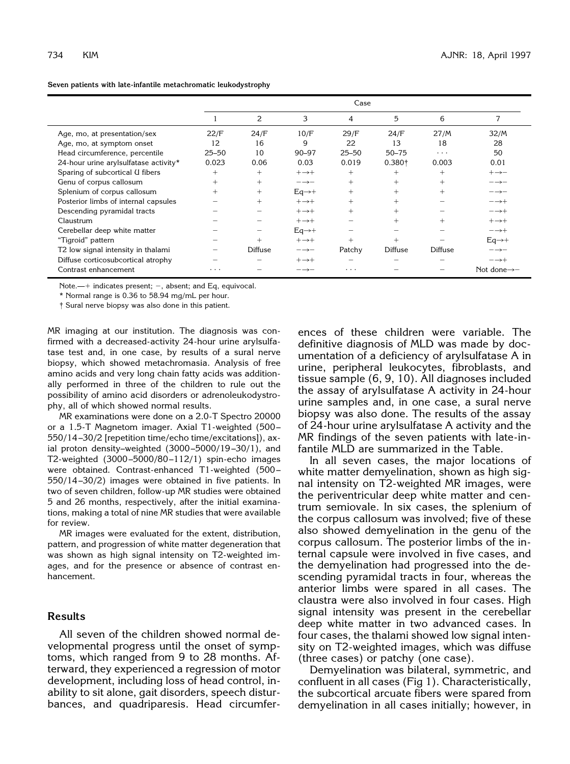|  | Seven patients with late-infantile metachromatic leukodystrophy |  |  |
|--|-----------------------------------------------------------------|--|--|
|--|-----------------------------------------------------------------|--|--|

|                                       | Case      |                |                             |           |                    |                |                             |
|---------------------------------------|-----------|----------------|-----------------------------|-----------|--------------------|----------------|-----------------------------|
|                                       |           | 2              | 3                           | 4         | 5                  | 6              | 7                           |
| Age, mo, at presentation/sex          | 22/F      | 24/F           | 10/F                        | 29/F      | 24/F               | 27/M           | 32/M                        |
| Age, mo, at symptom onset             | 12        | 16             | 9                           | 22        | 13                 | 18             | 28                          |
| Head circumference, percentile        | $25 - 50$ | 10             | $90 - 97$                   | $25 - 50$ | $50 - 75$          | $\cdots$       | 50                          |
| 24-hour urine arylsulfatase activity* | 0.023     | 0.06           | 0.03                        | 0.019     | 0.380 <sup>†</sup> | 0.003          | 0.01                        |
| Sparing of subcortical U fibers       | $+$       | $^{+}$         | $+\rightarrow +$            | $+$       | $+$                | $+$            | $+\rightarrow -$            |
| Genu of corpus callosum               | $^{+}$    | $+$            | $\rightarrow \rightarrow -$ | $+$       | $+$                | $+$            | $\rightarrow \rightarrow -$ |
| Splenium of corpus callosum           | $+$       | $+$            | $Eq\rightarrow +$           | $^{+}$    | $^{+}$             | $+$            | $\rightarrow \rightarrow -$ |
| Posterior limbs of internal capsules  |           | $+$            | $+\rightarrow +$            | $+$       | $^{+}$             |                | $-\rightarrow +$            |
| Descending pyramidal tracts           |           |                | $+\rightarrow +$            | $^{+}$    | $+$                |                | $-\!\!\rightarrow\!+\;$     |
| Claustrum                             |           |                | $+\rightarrow +$            |           | $+$                | $+$            | $+\rightarrow +$            |
| Cerebellar deep white matter          |           | —              | $Eq\rightarrow +$           |           |                    |                | $-\rightarrow +$            |
| "Tigroid" pattern                     |           | $^{+}$         | $+\rightarrow +$            | $+$       | $\ddot{}$          |                | $Eq\rightarrow +$           |
| T2 low signal intensity in thalami    |           | <b>Diffuse</b> | $\rightarrow \rightarrow -$ | Patchy    | Diffuse            | <b>Diffuse</b> | $\rightarrow \rightarrow -$ |
| Diffuse corticosubcortical atrophy    |           |                | $+\rightarrow +$            |           |                    |                | $-\rightarrow +$            |
| Contrast enhancement                  | .         |                |                             | .         |                    |                | Not done $\rightarrow -$    |

Note.— $+$  indicates present;  $-$ , absent; and Eq, equivocal.

\* Normal range is 0.36 to 58.94 mg/mL per hour.

† Sural nerve biopsy was also done in this patient.

MR imaging at our institution. The diagnosis was confirmed with a decreased-activity 24-hour urine arylsulfatase test and, in one case, by results of a sural nerve biopsy, which showed metachromasia. Analysis of free amino acids and very long chain fatty acids was additionally performed in three of the children to rule out the possibility of amino acid disorders or adrenoleukodystrophy, all of which showed normal results.

MR examinations were done on a 2.0-T Spectro 20000 or a 1.5-T Magnetom imager. Axial T1-weighted (500– 550/14–30/2 [repetition time/echo time/excitations]), axial proton density–weighted (3000–5000/19–30/1), and T2-weighted (3000–5000/80–112/1) spin-echo images were obtained. Contrast-enhanced T1-weighted (500– 550/14–30/2) images were obtained in five patients. In two of seven children, follow-up MR studies were obtained 5 and 26 months, respectively, after the initial examinations, making a total of nine MR studies that were available for review.

MR images were evaluated for the extent, distribution, pattern, and progression of white matter degeneration that was shown as high signal intensity on T2-weighted images, and for the presence or absence of contrast enhancement.

# **Results**

All seven of the children showed normal developmental progress until the onset of symptoms, which ranged from 9 to 28 months. Afterward, they experienced a regression of motor development, including loss of head control, inability to sit alone, gait disorders, speech disturbances, and quadriparesis. Head circumfer-

ences of these children were variable. The definitive diagnosis of MLD was made by documentation of a deficiency of arylsulfatase A in urine, peripheral leukocytes, fibroblasts, and tissue sample (6, 9, 10). All diagnoses included the assay of arylsulfatase A activity in 24-hour urine samples and, in one case, a sural nerve biopsy was also done. The results of the assay of 24-hour urine arylsulfatase A activity and the MR findings of the seven patients with late-infantile MLD are summarized in the Table.

In all seven cases, the major locations of white matter demyelination, shown as high signal intensity on T2-weighted MR images, were the periventricular deep white matter and centrum semiovale. In six cases, the splenium of the corpus callosum was involved; five of these also showed demyelination in the genu of the corpus callosum. The posterior limbs of the internal capsule were involved in five cases, and the demyelination had progressed into the descending pyramidal tracts in four, whereas the anterior limbs were spared in all cases. The claustra were also involved in four cases. High signal intensity was present in the cerebellar deep white matter in two advanced cases. In four cases, the thalami showed low signal intensity on T2-weighted images, which was diffuse (three cases) or patchy (one case).

Demyelination was bilateral, symmetric, and confluent in all cases (Fig 1). Characteristically, the subcortical arcuate fibers were spared from demyelination in all cases initially; however, in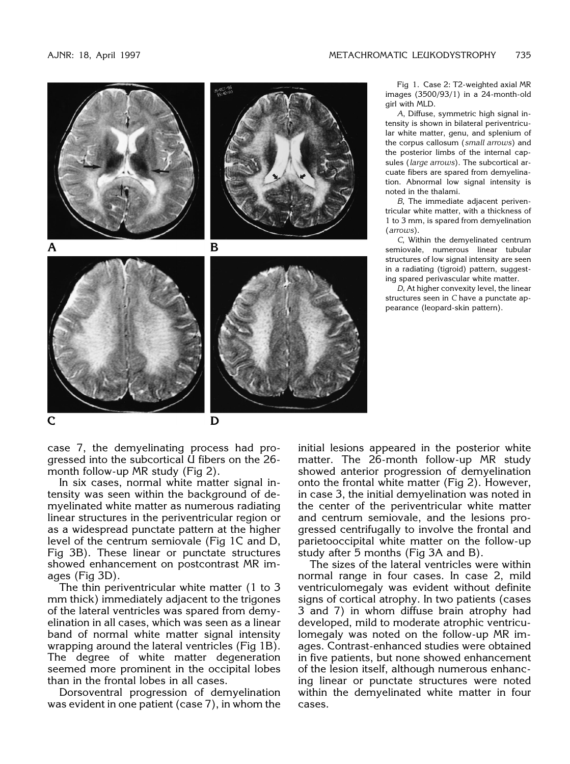C





case 7, the demyelinating process had progressed into the subcortical U fibers on the 26 month follow-up MR study (Fig 2).

In six cases, normal white matter signal intensity was seen within the background of demyelinated white matter as numerous radiating linear structures in the periventricular region or as a widespread punctate pattern at the higher level of the centrum semiovale (Fig 1C and D, Fig 3B). These linear or punctate structures showed enhancement on postcontrast MR images (Fig 3D).

The thin periventricular white matter (1 to 3 mm thick) immediately adjacent to the trigones of the lateral ventricles was spared from demyelination in all cases, which was seen as a linear band of normal white matter signal intensity wrapping around the lateral ventricles (Fig 1B). The degree of white matter degeneration seemed more prominent in the occipital lobes than in the frontal lobes in all cases.

Dorsoventral progression of demyelination was evident in one patient (case 7), in whom the

Fig 1. Case 2: T2-weighted axial MR images (3500/93/1) in a 24-month-old girl with MLD.

*A*, Diffuse, symmetric high signal intensity is shown in bilateral periventricular white matter, genu, and splenium of the corpus callosum (*small arrows*) and the posterior limbs of the internal capsules (*large arrows*). The subcortical arcuate fibers are spared from demyelination. Abnormal low signal intensity is noted in the thalami.

*B*, The immediate adjacent periventricular white matter, with a thickness of 1 to 3 mm, is spared from demyelination (*arrows*).

*C*, Within the demyelinated centrum semiovale, numerous linear tubular structures of low signal intensity are seen in a radiating (tigroid) pattern, suggesting spared perivascular white matter.

*D*, At higher convexity level, the linear structures seen in *C* have a punctate appearance (leopard-skin pattern).

initial lesions appeared in the posterior white matter. The 26-month follow-up MR study showed anterior progression of demyelination onto the frontal white matter (Fig 2). However, in case 3, the initial demyelination was noted in the center of the periventricular white matter and centrum semiovale, and the lesions progressed centrifugally to involve the frontal and parietooccipital white matter on the follow-up study after 5 months (Fig 3A and B).

The sizes of the lateral ventricles were within normal range in four cases. In case 2, mild ventriculomegaly was evident without definite signs of cortical atrophy. In two patients (cases 3 and 7) in whom diffuse brain atrophy had developed, mild to moderate atrophic ventriculomegaly was noted on the follow-up MR images. Contrast-enhanced studies were obtained in five patients, but none showed enhancement of the lesion itself, although numerous enhancing linear or punctate structures were noted within the demyelinated white matter in four cases.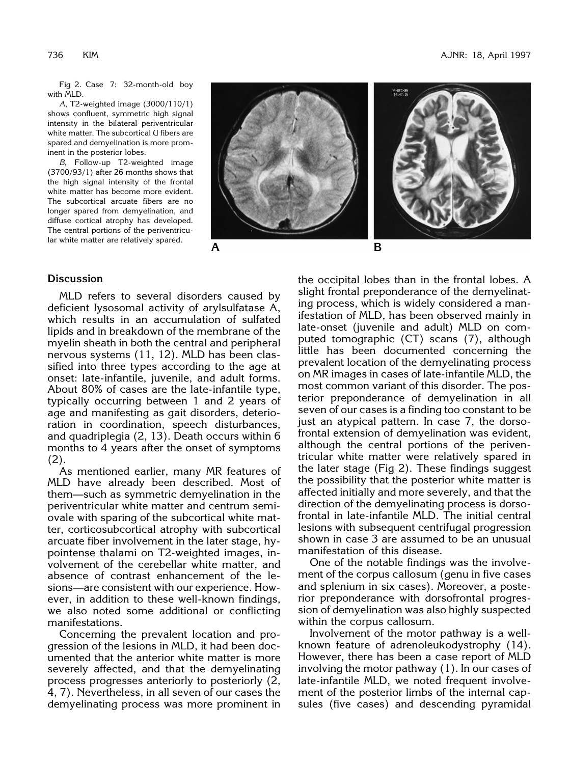Fig 2. Case 7: 32-month-old boy with MLD.

*A*, T2-weighted image (3000/110/1) shows confluent, symmetric high signal intensity in the bilateral periventricular white matter. The subcortical U fibers are spared and demyelination is more prominent in the posterior lobes.

*B*, Follow-up T2-weighted image (3700/93/1) after 26 months shows that the high signal intensity of the frontal white matter has become more evident. The subcortical arcuate fibers are no longer spared from demyelination, and diffuse cortical atrophy has developed. The central portions of the periventricular white matter are relatively spared.



### **Discussion**

MLD refers to several disorders caused by deficient lysosomal activity of arylsulfatase A, which results in an accumulation of sulfated lipids and in breakdown of the membrane of the myelin sheath in both the central and peripheral nervous systems (11, 12). MLD has been classified into three types according to the age at onset: late-infantile, juvenile, and adult forms. About 80% of cases are the late-infantile type, typically occurring between 1 and 2 years of age and manifesting as gait disorders, deterioration in coordination, speech disturbances, and quadriplegia (2, 13). Death occurs within 6 months to 4 years after the onset of symptoms (2).

As mentioned earlier, many MR features of MLD have already been described. Most of them—such as symmetric demyelination in the periventricular white matter and centrum semiovale with sparing of the subcortical white matter, corticosubcortical atrophy with subcortical arcuate fiber involvement in the later stage, hypointense thalami on T2-weighted images, involvement of the cerebellar white matter, and absence of contrast enhancement of the lesions—are consistent with our experience. However, in addition to these well-known findings, we also noted some additional or conflicting manifestations.

Concerning the prevalent location and progression of the lesions in MLD, it had been documented that the anterior white matter is more severely affected, and that the demyelinating process progresses anteriorly to posteriorly (2, 4, 7). Nevertheless, in all seven of our cases the demyelinating process was more prominent in

the occipital lobes than in the frontal lobes. A slight frontal preponderance of the demyelinating process, which is widely considered a manifestation of MLD, has been observed mainly in late-onset (juvenile and adult) MLD on computed tomographic (CT) scans (7), although little has been documented concerning the prevalent location of the demyelinating process on MR images in cases of late-infantile MLD, the most common variant of this disorder. The posterior preponderance of demyelination in all seven of our cases is a finding too constant to be just an atypical pattern. In case 7, the dorsofrontal extension of demyelination was evident, although the central portions of the periventricular white matter were relatively spared in the later stage (Fig 2). These findings suggest the possibility that the posterior white matter is affected initially and more severely, and that the direction of the demyelinating process is dorsofrontal in late-infantile MLD. The initial central lesions with subsequent centrifugal progression shown in case 3 are assumed to be an unusual manifestation of this disease.

One of the notable findings was the involvement of the corpus callosum (genu in five cases and splenium in six cases). Moreover, a posterior preponderance with dorsofrontal progression of demyelination was also highly suspected within the corpus callosum.

Involvement of the motor pathway is a wellknown feature of adrenoleukodystrophy (14). However, there has been a case report of MLD involving the motor pathway (1). In our cases of late-infantile MLD, we noted frequent involvement of the posterior limbs of the internal capsules (five cases) and descending pyramidal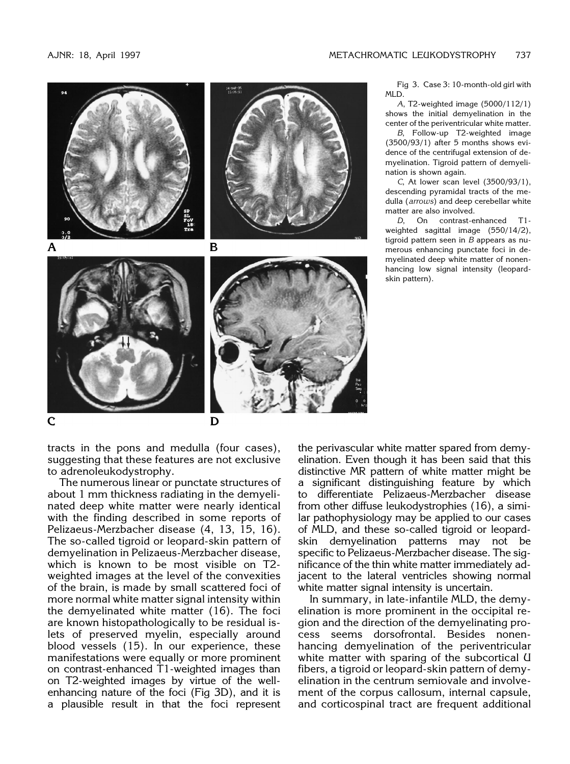

tracts in the pons and medulla (four cases), suggesting that these features are not exclusive to adrenoleukodystrophy.

The numerous linear or punctate structures of about 1 mm thickness radiating in the demyelinated deep white matter were nearly identical with the finding described in some reports of Pelizaeus-Merzbacher disease (4, 13, 15, 16). The so-called tigroid or leopard-skin pattern of demyelination in Pelizaeus-Merzbacher disease, which is known to be most visible on T2 weighted images at the level of the convexities of the brain, is made by small scattered foci of more normal white matter signal intensity within the demyelinated white matter (16). The foci are known histopathologically to be residual islets of preserved myelin, especially around blood vessels (15). In our experience, these manifestations were equally or more prominent on contrast-enhanced T1-weighted images than on T2-weighted images by virtue of the wellenhancing nature of the foci (Fig 3D), and it is a plausible result in that the foci represent

the perivascular white matter spared from demyelination. Even though it has been said that this distinctive MR pattern of white matter might be a significant distinguishing feature by which to differentiate Pelizaeus-Merzbacher disease from other diffuse leukodystrophies (16), a similar pathophysiology may be applied to our cases of MLD, and these so-called tigroid or leopardskin demyelination patterns may not be specific to Pelizaeus-Merzbacher disease. The significance of the thin white matter immediately adjacent to the lateral ventricles showing normal white matter signal intensity is uncertain.

In summary, in late-infantile MLD, the demyelination is more prominent in the occipital region and the direction of the demyelinating process seems dorsofrontal. Besides nonenhancing demyelination of the periventricular white matter with sparing of the subcortical U fibers, a tigroid or leopard-skin pattern of demyelination in the centrum semiovale and involvement of the corpus callosum, internal capsule, and corticospinal tract are frequent additional

Fig 3. Case 3: 10-month-old girl with MLD.

*A*, T2-weighted image (5000/112/1) shows the initial demyelination in the center of the periventricular white matter.

*B*, Follow-up T2-weighted image (3500/93/1) after 5 months shows evidence of the centrifugal extension of demyelination. Tigroid pattern of demyelination is shown again.

*C*, At lower scan level (3500/93/1), descending pyramidal tracts of the medulla (*arrows*) and deep cerebellar white matter are also involved.

*D*, On contrast-enhanced T1 weighted sagittal image (550/14/2), tigroid pattern seen in *B* appears as numerous enhancing punctate foci in demyelinated deep white matter of nonenhancing low signal intensity (leopardskin pattern).